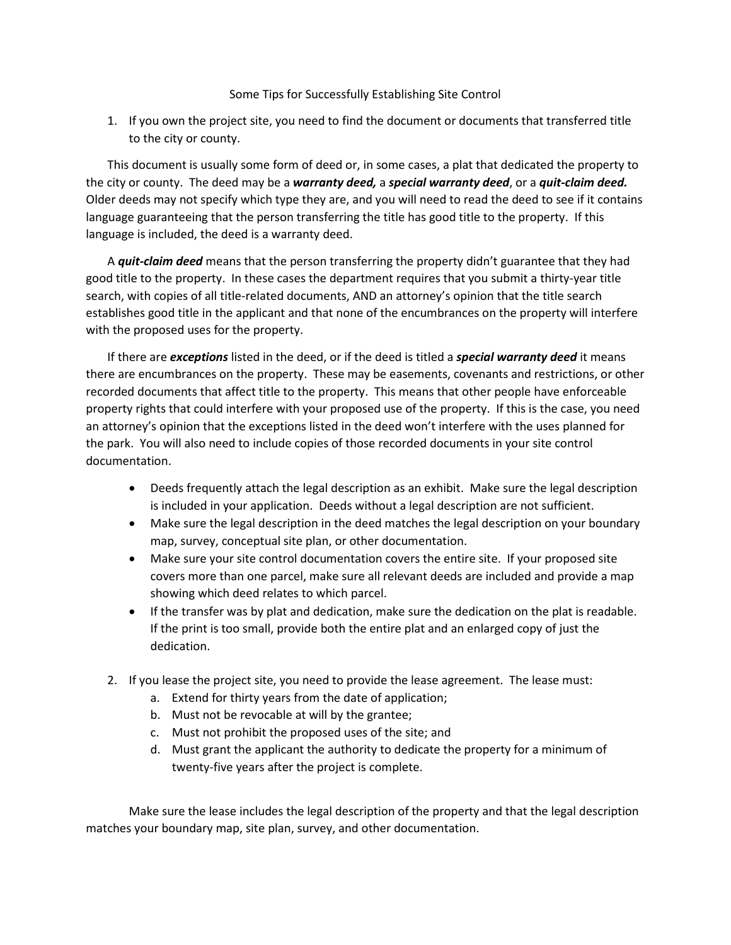## Some Tips for Successfully Establishing Site Control

1. If you own the project site, you need to find the document or documents that transferred title to the city or county.

This document is usually some form of deed or, in some cases, a plat that dedicated the property to the city or county. The deed may be a *warranty deed,* a *special warranty deed*, or a *quit-claim deed.* Older deeds may not specify which type they are, and you will need to read the deed to see if it contains language guaranteeing that the person transferring the title has good title to the property. If this language is included, the deed is a warranty deed.

A *quit-claim deed* means that the person transferring the property didn't guarantee that they had good title to the property. In these cases the department requires that you submit a thirty-year title search, with copies of all title-related documents, AND an attorney's opinion that the title search establishes good title in the applicant and that none of the encumbrances on the property will interfere with the proposed uses for the property.

If there are *exceptions* listed in the deed, or if the deed is titled a *special warranty deed* it means there are encumbrances on the property. These may be easements, covenants and restrictions, or other recorded documents that affect title to the property. This means that other people have enforceable property rights that could interfere with your proposed use of the property. If this is the case, you need an attorney's opinion that the exceptions listed in the deed won't interfere with the uses planned for the park. You will also need to include copies of those recorded documents in your site control documentation.

- Deeds frequently attach the legal description as an exhibit. Make sure the legal description is included in your application. Deeds without a legal description are not sufficient.
- Make sure the legal description in the deed matches the legal description on your boundary map, survey, conceptual site plan, or other documentation.
- Make sure your site control documentation covers the entire site. If your proposed site covers more than one parcel, make sure all relevant deeds are included and provide a map showing which deed relates to which parcel.
- If the transfer was by plat and dedication, make sure the dedication on the plat is readable. If the print is too small, provide both the entire plat and an enlarged copy of just the dedication.
- 2. If you lease the project site, you need to provide the lease agreement. The lease must:
	- a. Extend for thirty years from the date of application;
	- b. Must not be revocable at will by the grantee;
	- c. Must not prohibit the proposed uses of the site; and
	- d. Must grant the applicant the authority to dedicate the property for a minimum of twenty-five years after the project is complete.

Make sure the lease includes the legal description of the property and that the legal description matches your boundary map, site plan, survey, and other documentation.